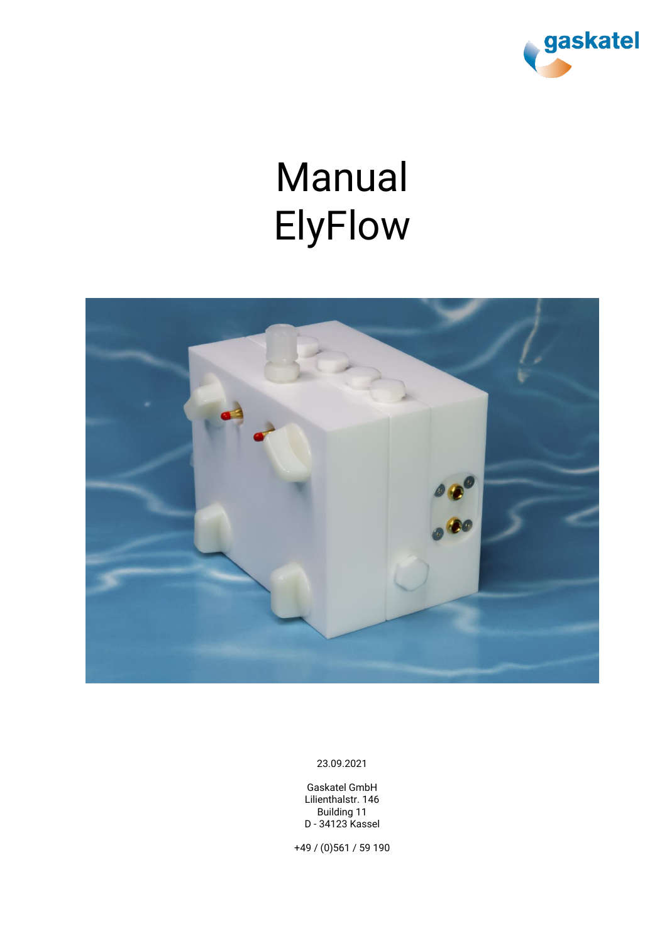

# Manual ElyFlow



23.09.2021

Gaskatel GmbH Lilienthalstr. 146 Building 11 D - 34123 Kassel

+49 / (0)561 / 59 190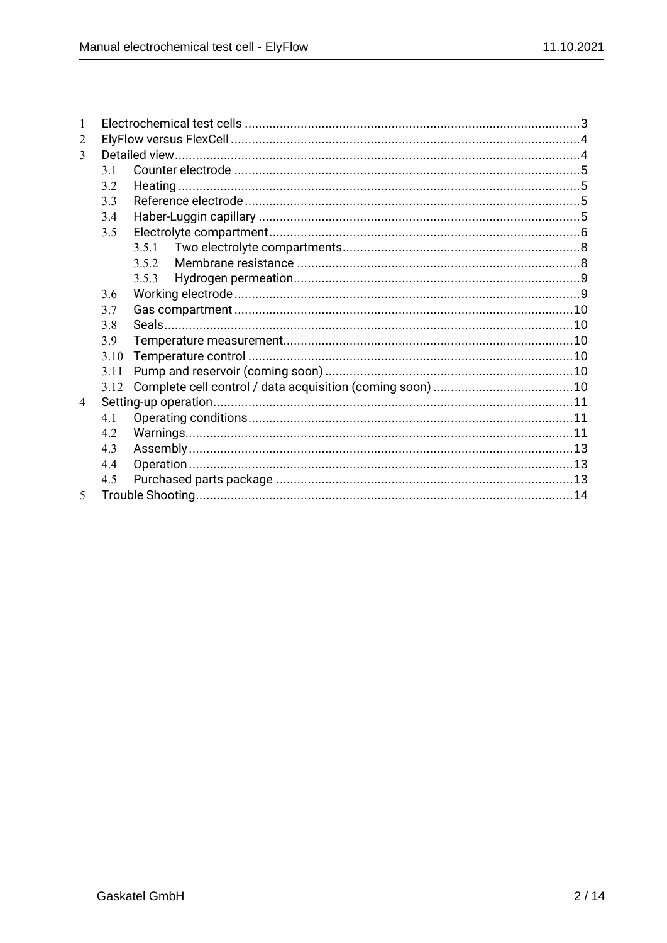| 1                       |      |       |  |  |  |
|-------------------------|------|-------|--|--|--|
| 2                       |      |       |  |  |  |
| $\mathbf{3}$            |      |       |  |  |  |
|                         | 3.1  |       |  |  |  |
|                         | 3.2  |       |  |  |  |
|                         | 3.3  |       |  |  |  |
|                         | 3.4  |       |  |  |  |
|                         | 3.5  |       |  |  |  |
|                         |      | 3.5.1 |  |  |  |
|                         |      | 3.5.2 |  |  |  |
|                         |      | 3.5.3 |  |  |  |
|                         | 3.6  |       |  |  |  |
|                         | 3.7  |       |  |  |  |
|                         | 3.8  |       |  |  |  |
|                         | 3.9  |       |  |  |  |
|                         | 3.10 |       |  |  |  |
|                         | 3.11 |       |  |  |  |
|                         | 3.12 |       |  |  |  |
| $\overline{4}$          |      |       |  |  |  |
|                         | 4.1  |       |  |  |  |
|                         | 4.2  |       |  |  |  |
|                         | 4.3  |       |  |  |  |
|                         | 4.4  |       |  |  |  |
|                         | 4.5  |       |  |  |  |
| $\overline{\mathbf{S}}$ |      |       |  |  |  |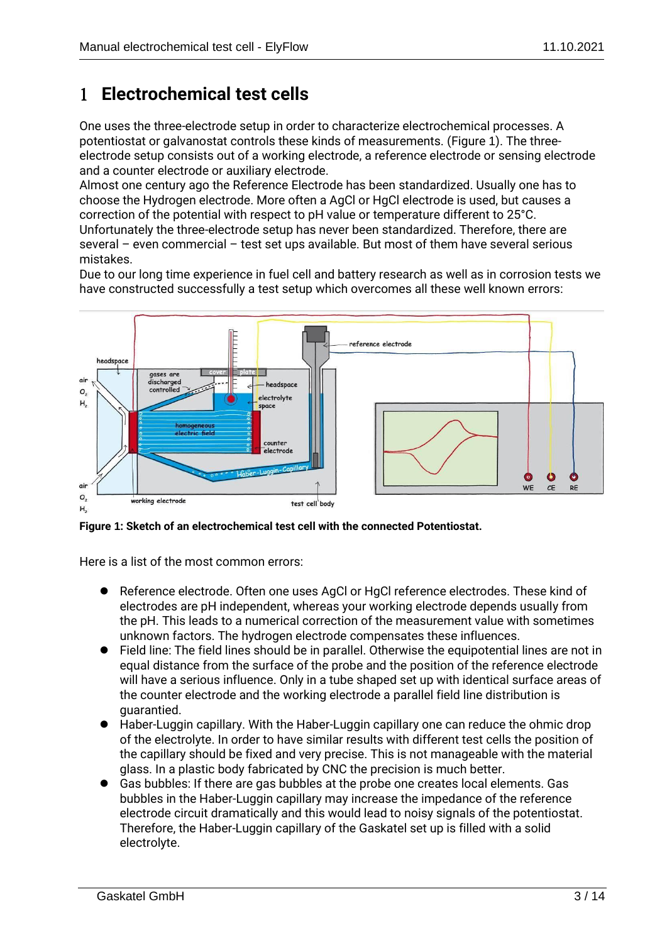## **Electrochemical test cells**

One uses the three-electrode setup in order to characterize electrochemical processes. A potentiostat or galvanostat controls these kinds of measurements. (Figure 1). The threeelectrode setup consists out of a working electrode, a reference electrode or sensing electrode and a counter electrode or auxiliary electrode.

Almost one century ago the Reference Electrode has been standardized. Usually one has to choose the Hydrogen electrode. More often a AgCl or HgCl electrode is used, but causes a correction of the potential with respect to pH value or temperature different to 25°C. Unfortunately the three-electrode setup has never been standardized. Therefore, there are several – even commercial – test set ups available. But most of them have several serious mistakes.

Due to our long time experience in fuel cell and battery research as well as in corrosion tests we have constructed successfully a test setup which overcomes all these well known errors:



**Figure 1: Sketch of an electrochemical test cell with the connected Potentiostat.**

Here is a list of the most common errors:

- Reference electrode. Often one uses AgCl or HgCl reference electrodes. These kind of electrodes are pH independent, whereas your working electrode depends usually from the pH. This leads to a numerical correction of the measurement value with sometimes unknown factors. The hydrogen electrode compensates these influences.
- Field line: The field lines should be in parallel. Otherwise the equipotential lines are not in equal distance from the surface of the probe and the position of the reference electrode will have a serious influence. Only in a tube shaped set up with identical surface areas of the counter electrode and the working electrode a parallel field line distribution is guarantied.
- Haber-Luggin capillary. With the Haber-Luggin capillary one can reduce the ohmic drop of the electrolyte. In order to have similar results with different test cells the position of the capillary should be fixed and very precise. This is not manageable with the material glass. In a plastic body fabricated by CNC the precision is much better.
- ⚫ Gas bubbles: If there are gas bubbles at the probe one creates local elements. Gas bubbles in the Haber-Luggin capillary may increase the impedance of the reference electrode circuit dramatically and this would lead to noisy signals of the potentiostat. Therefore, the Haber-Luggin capillary of the Gaskatel set up is filled with a solid electrolyte.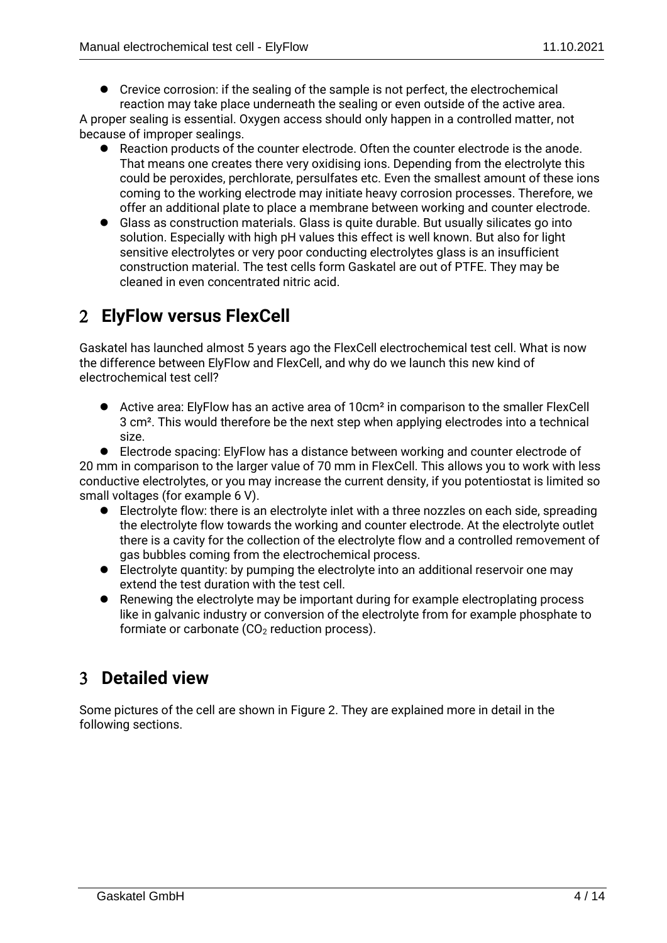● Crevice corrosion: if the sealing of the sample is not perfect, the electrochemical reaction may take place underneath the sealing or even outside of the active area.

A proper sealing is essential. Oxygen access should only happen in a controlled matter, not because of improper sealings.

- Reaction products of the counter electrode. Often the counter electrode is the anode. That means one creates there very oxidising ions. Depending from the electrolyte this could be peroxides, perchlorate, persulfates etc. Even the smallest amount of these ions coming to the working electrode may initiate heavy corrosion processes. Therefore, we offer an additional plate to place a membrane between working and counter electrode.
- ⚫ Glass as construction materials. Glass is quite durable. But usually silicates go into solution. Especially with high pH values this effect is well known. But also for light sensitive electrolytes or very poor conducting electrolytes glass is an insufficient construction material. The test cells form Gaskatel are out of PTFE. They may be cleaned in even concentrated nitric acid.

## **ElyFlow versus FlexCell**

Gaskatel has launched almost 5 years ago the FlexCell electrochemical test cell. What is now the difference between ElyFlow and FlexCell, and why do we launch this new kind of electrochemical test cell?

● Active area: ElyFlow has an active area of 10cm<sup>2</sup> in comparison to the smaller FlexCell 3 cm². This would therefore be the next step when applying electrodes into a technical size.

● Electrode spacing: ElyFlow has a distance between working and counter electrode of 20 mm in comparison to the larger value of 70 mm in FlexCell. This allows you to work with less conductive electrolytes, or you may increase the current density, if you potentiostat is limited so small voltages (for example 6 V).

- Electrolyte flow: there is an electrolyte inlet with a three nozzles on each side, spreading the electrolyte flow towards the working and counter electrode. At the electrolyte outlet there is a cavity for the collection of the electrolyte flow and a controlled removement of gas bubbles coming from the electrochemical process.
- Electrolyte quantity: by pumping the electrolyte into an additional reservoir one may extend the test duration with the test cell.
- Renewing the electrolyte may be important during for example electroplating process like in galvanic industry or conversion of the electrolyte from for example phosphate to formiate or carbonate  $(CO<sub>2</sub>$  reduction process).

## **Detailed view**

Some pictures of the cell are shown in Figure 2. They are explained more in detail in the following sections.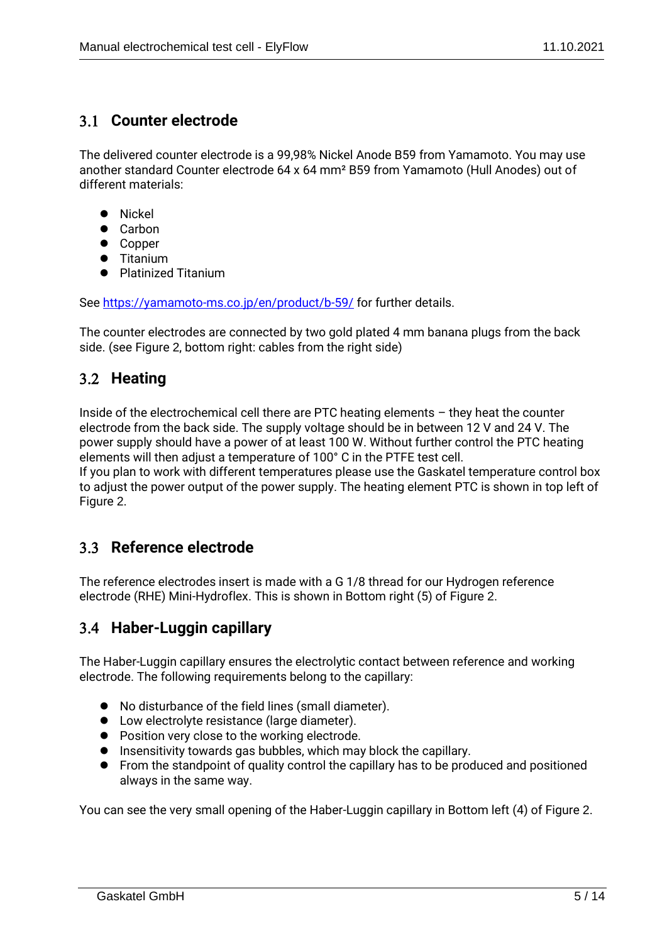#### **Counter electrode**

The delivered counter electrode is a 99,98% Nickel Anode B59 from Yamamoto. You may use another standard Counter electrode 64 x 64 mm² B59 from Yamamoto (Hull Anodes) out of different materials:

- ⚫ Nickel
- ⚫ Carbon
- Copper
- ⚫ Titanium
- Platinized Titanium

See<https://yamamoto-ms.co.jp/en/product/b-59/> for further details.

The counter electrodes are connected by two gold plated 4 mm banana plugs from the back side. (see Figure 2, bottom right: cables from the right side)

## **Heating**

Inside of the electrochemical cell there are PTC heating elements – they heat the counter electrode from the back side. The supply voltage should be in between 12 V and 24 V. The power supply should have a power of at least 100 W. Without further control the PTC heating elements will then adjust a temperature of 100° C in the PTFE test cell.

If you plan to work with different temperatures please use the Gaskatel temperature control box to adjust the power output of the power supply. The heating element PTC is shown in top left of Figure 2.

## **Reference electrode**

The reference electrodes insert is made with a G 1/8 thread for our Hydrogen reference electrode (RHE) Mini-Hydroflex. This is shown in Bottom right (5) of Figure 2.

## **Haber-Luggin capillary**

The Haber-Luggin capillary ensures the electrolytic contact between reference and working electrode. The following requirements belong to the capillary:

- No disturbance of the field lines (small diameter).
- Low electrolyte resistance (large diameter).
- Position very close to the working electrode.
- ⚫ Insensitivity towards gas bubbles, which may block the capillary.
- From the standpoint of quality control the capillary has to be produced and positioned always in the same way.

You can see the very small opening of the Haber-Luggin capillary in Bottom left (4) of Figure 2.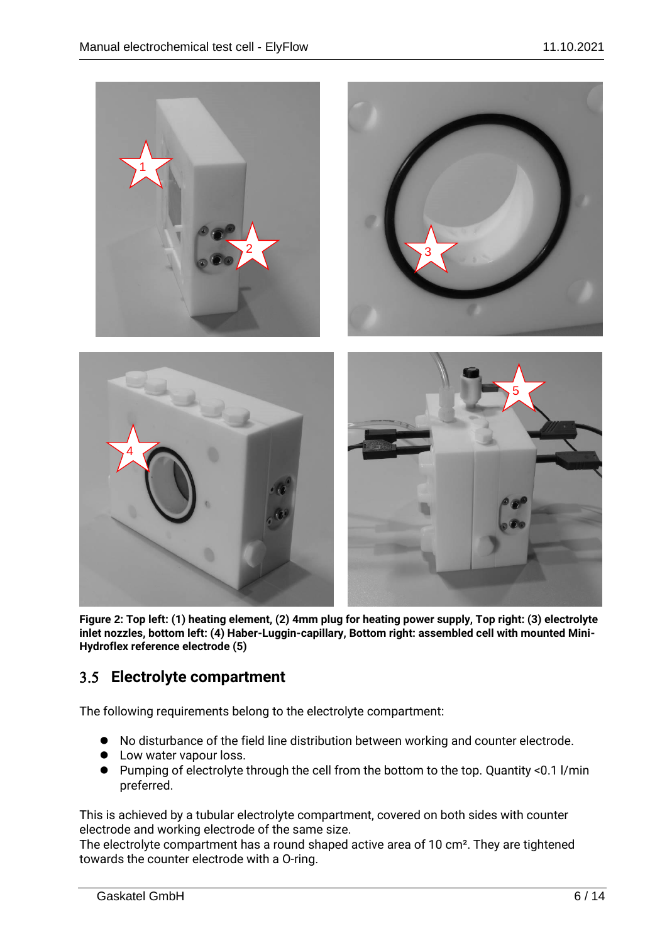

**Figure 2: Top left: (1) heating element, (2) 4mm plug for heating power supply, Top right: (3) electrolyte inlet nozzles, bottom left: (4) Haber-Luggin-capillary, Bottom right: assembled cell with mounted Mini-Hydroflex reference electrode (5)**

#### **Electrolyte compartment**

The following requirements belong to the electrolyte compartment:

- No disturbance of the field line distribution between working and counter electrode.
- Low water vapour loss.
- Pumping of electrolyte through the cell from the bottom to the top. Quantity <0.1 l/min preferred.

This is achieved by a tubular electrolyte compartment, covered on both sides with counter electrode and working electrode of the same size.

The electrolyte compartment has a round shaped active area of 10 cm². They are tightened towards the counter electrode with a O-ring.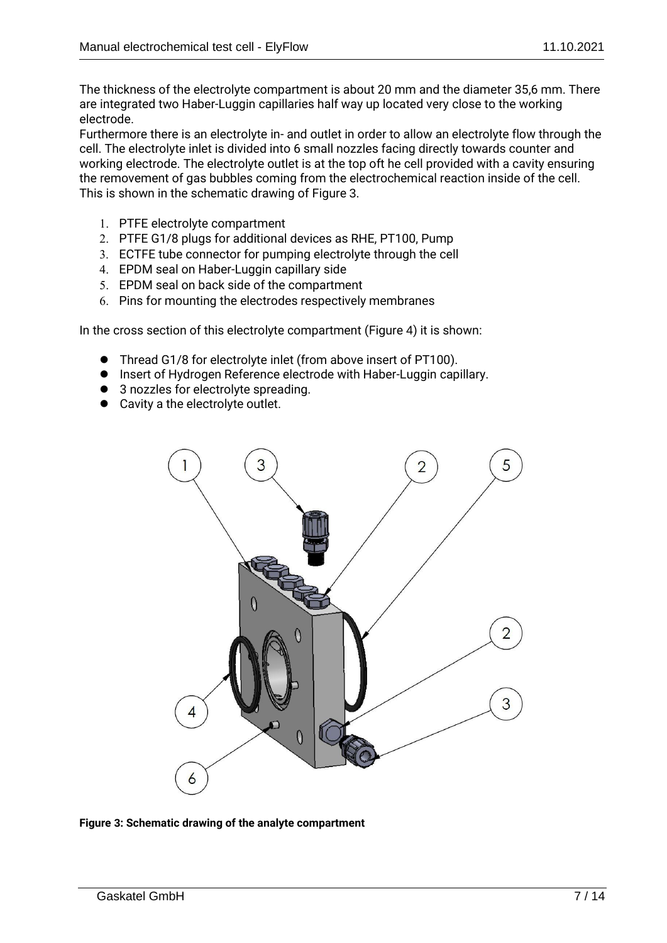The thickness of the electrolyte compartment is about 20 mm and the diameter 35,6 mm. There are integrated two Haber-Luggin capillaries half way up located very close to the working electrode.

Furthermore there is an electrolyte in- and outlet in order to allow an electrolyte flow through the cell. The electrolyte inlet is divided into 6 small nozzles facing directly towards counter and working electrode. The electrolyte outlet is at the top oft he cell provided with a cavity ensuring the removement of gas bubbles coming from the electrochemical reaction inside of the cell. This is shown in the schematic drawing of Figure 3.

- PTFE electrolyte compartment
- PTFE G1/8 plugs for additional devices as RHE, PT100, Pump
- ECTFE tube connector for pumping electrolyte through the cell
- EPDM seal on Haber-Luggin capillary side
- EPDM seal on back side of the compartment
- Pins for mounting the electrodes respectively membranes

In the cross section of this electrolyte compartment (Figure 4) it is shown:

- ⚫ Thread G1/8 for electrolyte inlet (from above insert of PT100).
- Insert of Hydrogen Reference electrode with Haber-Luggin capillary.
- 3 nozzles for electrolyte spreading.
- Cavity a the electrolyte outlet.



**Figure 3: Schematic drawing of the analyte compartment**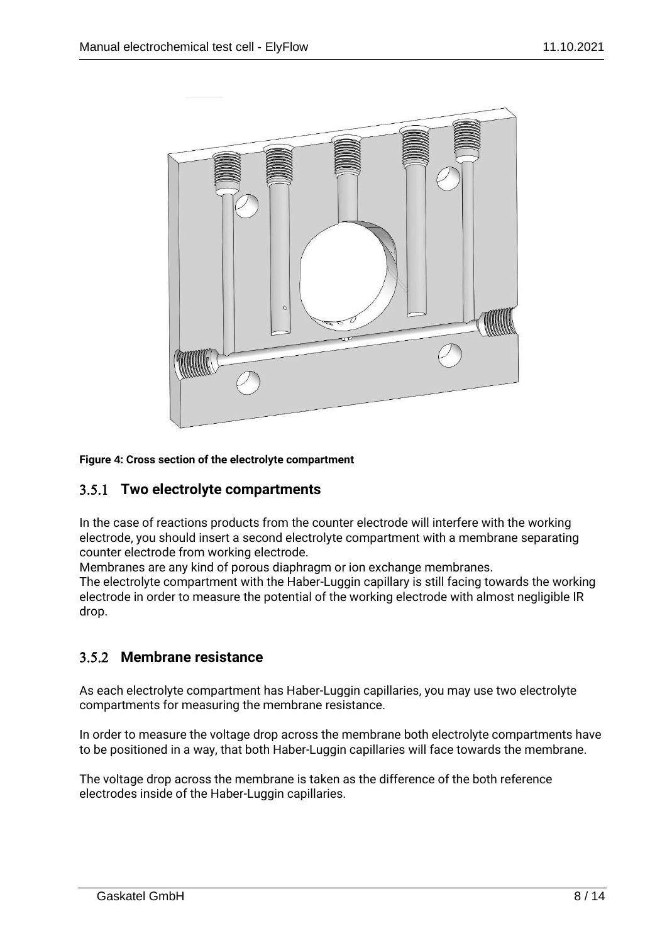

#### **Figure 4: Cross section of the electrolyte compartment**

#### **Two electrolyte compartments**

In the case of reactions products from the counter electrode will interfere with the working electrode, you should insert a second electrolyte compartment with a membrane separating counter electrode from working electrode.

Membranes are any kind of porous diaphragm or ion exchange membranes.

The electrolyte compartment with the Haber-Luggin capillary is still facing towards the working electrode in order to measure the potential of the working electrode with almost negligible IR drop.

#### **Membrane resistance**

As each electrolyte compartment has Haber-Luggin capillaries, you may use two electrolyte compartments for measuring the membrane resistance.

In order to measure the voltage drop across the membrane both electrolyte compartments have to be positioned in a way, that both Haber-Luggin capillaries will face towards the membrane.

The voltage drop across the membrane is taken as the difference of the both reference electrodes inside of the Haber-Luggin capillaries.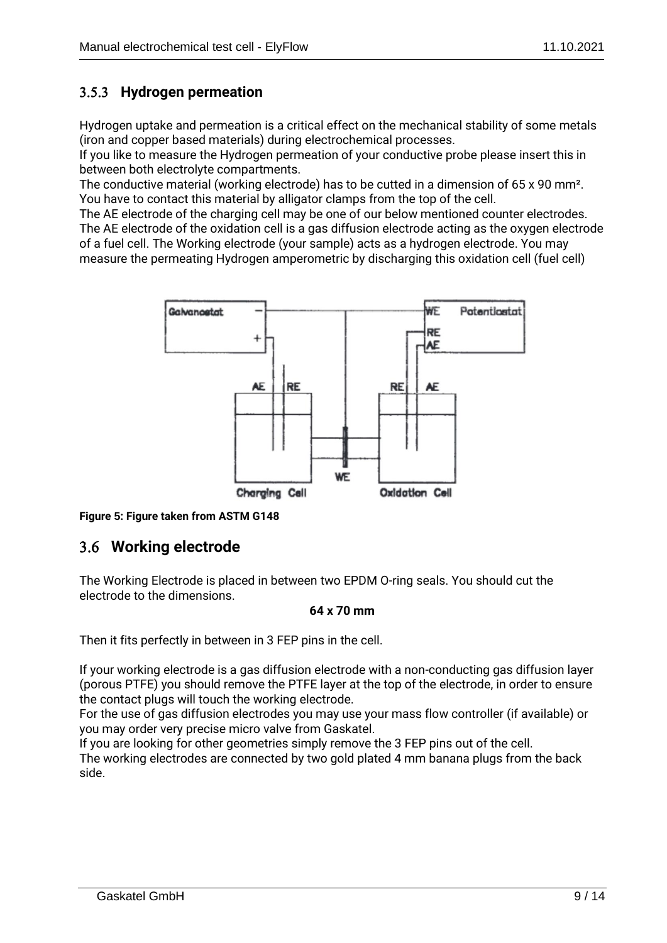#### **Hydrogen permeation**

Hydrogen uptake and permeation is a critical effect on the mechanical stability of some metals (iron and copper based materials) during electrochemical processes.

If you like to measure the Hydrogen permeation of your conductive probe please insert this in between both electrolyte compartments.

The conductive material (working electrode) has to be cutted in a dimension of 65 x 90 mm². You have to contact this material by alligator clamps from the top of the cell.

The AE electrode of the charging cell may be one of our below mentioned counter electrodes. The AE electrode of the oxidation cell is a gas diffusion electrode acting as the oxygen electrode of a fuel cell. The Working electrode (your sample) acts as a hydrogen electrode. You may measure the permeating Hydrogen amperometric by discharging this oxidation cell (fuel cell)



**Figure 5: Figure taken from ASTM G148**

## **Working electrode**

The Working Electrode is placed in between two EPDM O-ring seals. You should cut the electrode to the dimensions.

#### **64 x 70 mm**

Then it fits perfectly in between in 3 FEP pins in the cell.

If your working electrode is a gas diffusion electrode with a non-conducting gas diffusion layer (porous PTFE) you should remove the PTFE layer at the top of the electrode, in order to ensure the contact plugs will touch the working electrode.

For the use of gas diffusion electrodes you may use your mass flow controller (if available) or you may order very precise micro valve from Gaskatel.

If you are looking for other geometries simply remove the 3 FEP pins out of the cell. The working electrodes are connected by two gold plated 4 mm banana plugs from the back side.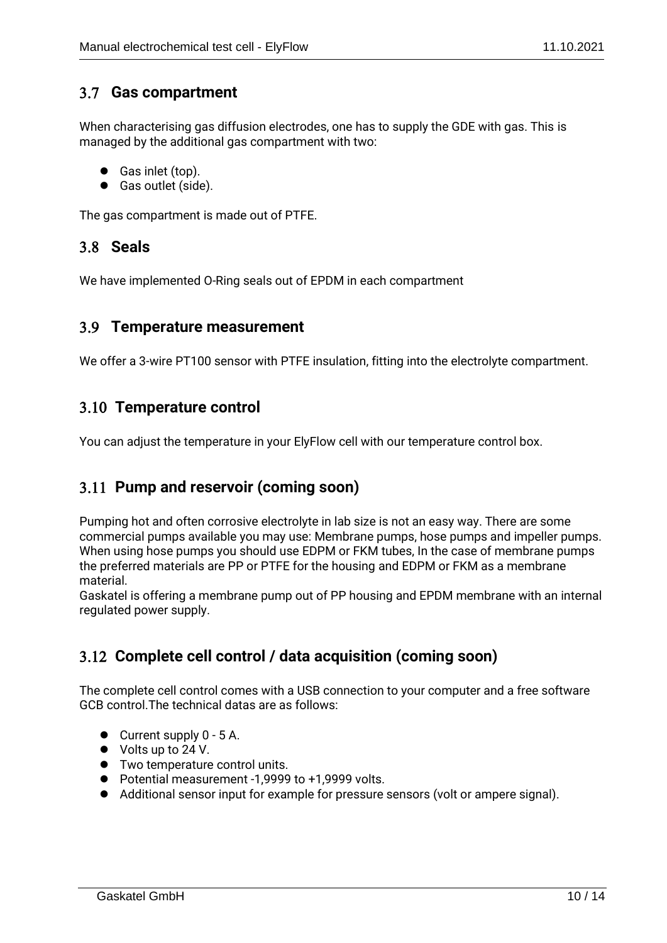#### **Gas compartment**

When characterising gas diffusion electrodes, one has to supply the GDE with gas. This is managed by the additional gas compartment with two:

- Gas inlet (top).
- Gas outlet (side).

The gas compartment is made out of PTFE.

#### **Seals**

We have implemented O-Ring seals out of EPDM in each compartment

#### **Temperature measurement**

We offer a 3-wire PT100 sensor with PTFE insulation, fitting into the electrolyte compartment.

## **Temperature control**

You can adjust the temperature in your ElyFlow cell with our temperature control box.

## **Pump and reservoir (coming soon)**

Pumping hot and often corrosive electrolyte in lab size is not an easy way. There are some commercial pumps available you may use: Membrane pumps, hose pumps and impeller pumps. When using hose pumps you should use EDPM or FKM tubes, In the case of membrane pumps the preferred materials are PP or PTFE for the housing and EDPM or FKM as a membrane material.

Gaskatel is offering a membrane pump out of PP housing and EPDM membrane with an internal regulated power supply.

## **Complete cell control / data acquisition (coming soon)**

The complete cell control comes with a USB connection to your computer and a free software GCB control.The technical datas are as follows:

- Current supply 0 5 A.
- Volts up to 24 V.
- ⚫ Two temperature control units.
- Potential measurement -1,9999 to +1,9999 volts.
- ⚫ Additional sensor input for example for pressure sensors (volt or ampere signal).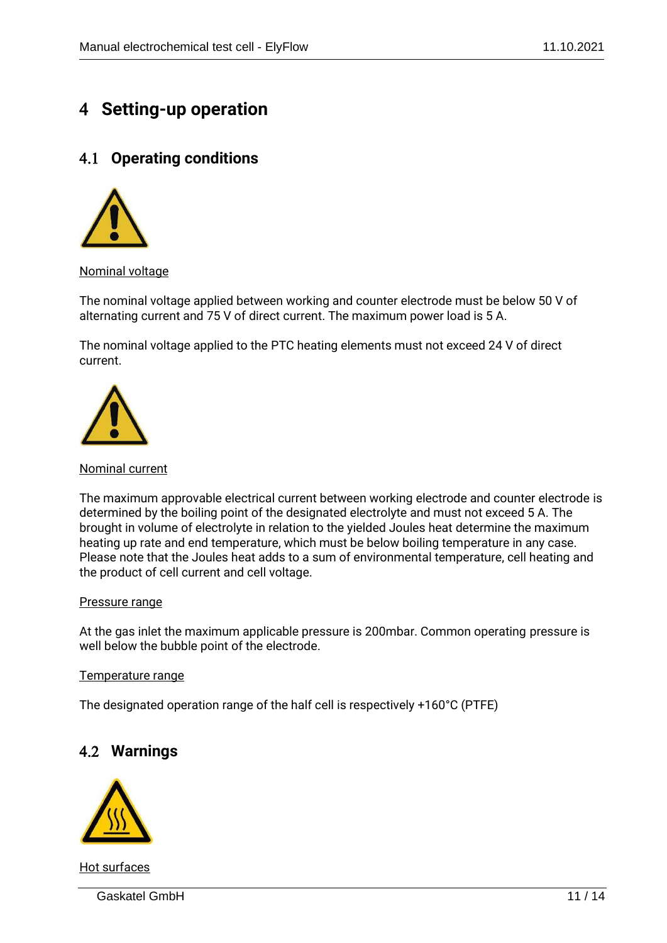## **Setting-up operation**

## **Operating conditions**



Nominal voltage

The nominal voltage applied between working and counter electrode must be below 50 V of alternating current and 75 V of direct current. The maximum power load is 5 A.

The nominal voltage applied to the PTC heating elements must not exceed 24 V of direct current.



#### Nominal current

The maximum approvable electrical current between working electrode and counter electrode is determined by the boiling point of the designated electrolyte and must not exceed 5 A. The brought in volume of electrolyte in relation to the yielded Joules heat determine the maximum heating up rate and end temperature, which must be below boiling temperature in any case. Please note that the Joules heat adds to a sum of environmental temperature, cell heating and the product of cell current and cell voltage.

#### Pressure range

At the gas inlet the maximum applicable pressure is 200mbar. Common operating pressure is well below the bubble point of the electrode.

#### Temperature range

The designated operation range of the half cell is respectively +160°C (PTFE)

## **Warnings**



Hot surfaces

Gaskatel GmbH 11 / 14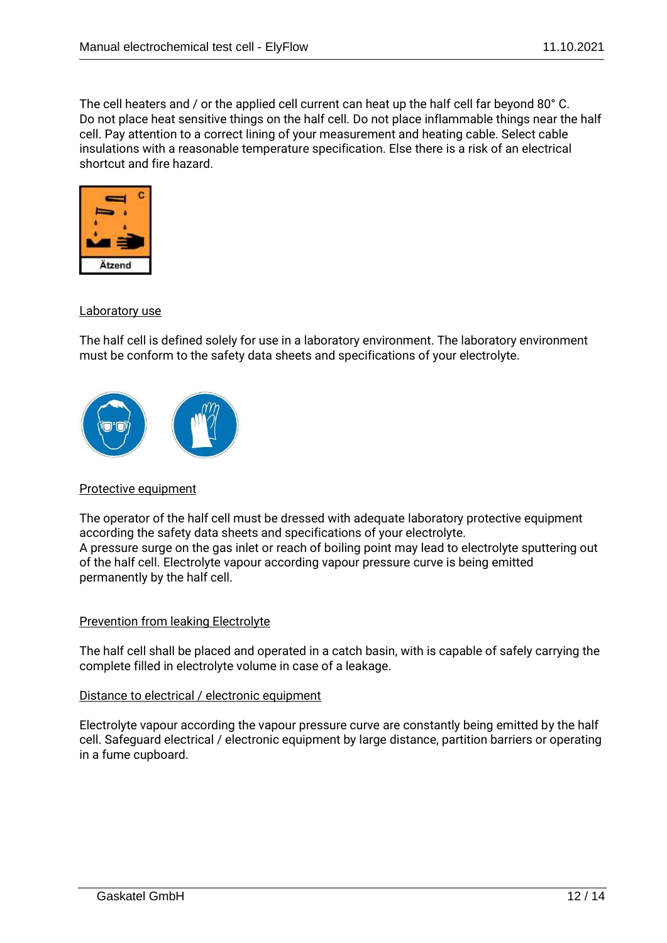The cell heaters and / or the applied cell current can heat up the half cell far beyond 80° C. Do not place heat sensitive things on the half cell. Do not place inflammable things near the half cell. Pay attention to a correct lining of your measurement and heating cable. Select cable insulations with a reasonable temperature specification. Else there is a risk of an electrical shortcut and fire hazard.



#### Laboratory use

The half cell is defined solely for use in a laboratory environment. The laboratory environment must be conform to the safety data sheets and specifications of your electrolyte.



#### Protective equipment

The operator of the half cell must be dressed with adequate laboratory protective equipment according the safety data sheets and specifications of your electrolyte. A pressure surge on the gas inlet or reach of boiling point may lead to electrolyte sputtering out of the half cell. Electrolyte vapour according vapour pressure curve is being emitted permanently by the half cell.

#### Prevention from leaking Electrolyte

The half cell shall be placed and operated in a catch basin, with is capable of safely carrying the complete filled in electrolyte volume in case of a leakage.

#### Distance to electrical / electronic equipment

Electrolyte vapour according the vapour pressure curve are constantly being emitted by the half cell. Safeguard electrical / electronic equipment by large distance, partition barriers or operating in a fume cupboard.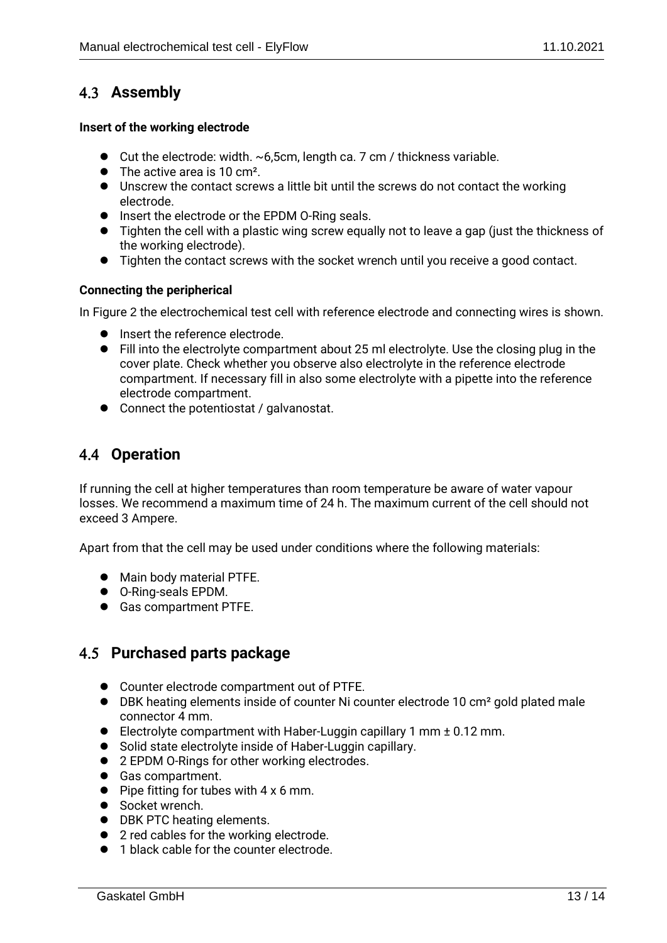## **Assembly**

#### **Insert of the working electrode**

- $\bullet$  Cut the electrode: width.  $\sim$  6,5cm, length ca. 7 cm / thickness variable.
- The active area is 10 cm<sup>2</sup>.
- ⚫ Unscrew the contact screws a little bit until the screws do not contact the working electrode.
- ⚫ Insert the electrode or the EPDM O-Ring seals.
- ⚫ Tighten the cell with a plastic wing screw equally not to leave a gap (just the thickness of the working electrode).
- Tighten the contact screws with the socket wrench until you receive a good contact.

#### **Connecting the peripherical**

In Figure 2 the electrochemical test cell with reference electrode and connecting wires is shown.

- Insert the reference electrode.
- Fill into the electrolyte compartment about 25 ml electrolyte. Use the closing plug in the cover plate. Check whether you observe also electrolyte in the reference electrode compartment. If necessary fill in also some electrolyte with a pipette into the reference electrode compartment.
- Connect the potentiostat / galvanostat.

## **Operation**

If running the cell at higher temperatures than room temperature be aware of water vapour losses. We recommend a maximum time of 24 h. The maximum current of the cell should not exceed 3 Ampere.

Apart from that the cell may be used under conditions where the following materials:

- ⚫ Main body material PTFE.
- ⚫ O-Ring-seals EPDM.
- Gas compartment PTFE.

## **Purchased parts package**

- Counter electrode compartment out of PTFE.
- DBK heating elements inside of counter Ni counter electrode 10 cm<sup>2</sup> gold plated male connector 4 mm.
- ⚫ Electrolyte compartment with Haber-Luggin capillary 1 mm ± 0.12 mm.
- Solid state electrolyte inside of Haber-Luggin capillary.
- 2 EPDM O-Rings for other working electrodes.
- Gas compartment.
- $\bullet$  Pipe fitting for tubes with 4 x 6 mm.
- Socket wrench.
- DBK PTC heating elements.
- 2 red cables for the working electrode.
- 1 black cable for the counter electrode.